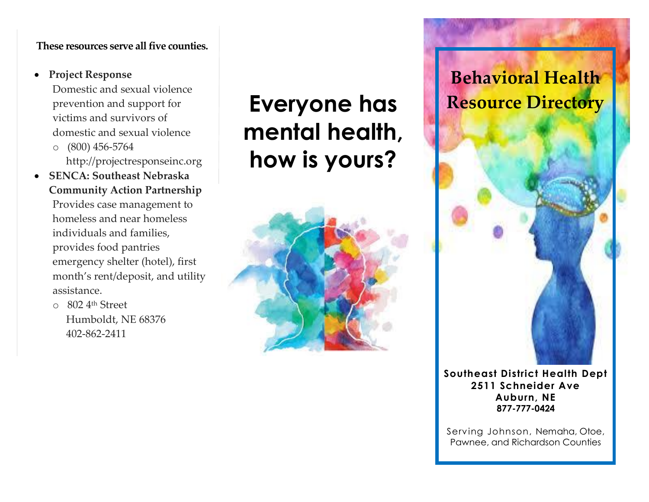#### **These resources serve all five counties.**

### • **Project Response**

Domestic and sexual violence prevention and support for victims and survivors of domestic and sexual violence o (800) 456-5764

http://projectresponseinc.org

• **SENCA: Southeast Nebraska Community Action Partnership** Provides case management to homeless and near homeless individuals and families, provides food pantries emergency shelter (hotel), first month's rent/deposit, and utility assistance.

o 802 4th Street Humboldt, NE 68376 402-862-2411

# **Everyone has mental health, how is yours?**



# **Behavioral Health Resource Directory**

**Southeast District Health Dept 2511 Schneider Ave Auburn, NE 877-777-0424**

Serving Johnson, Nemaha, Otoe, Pawnee, and Richardson Counties